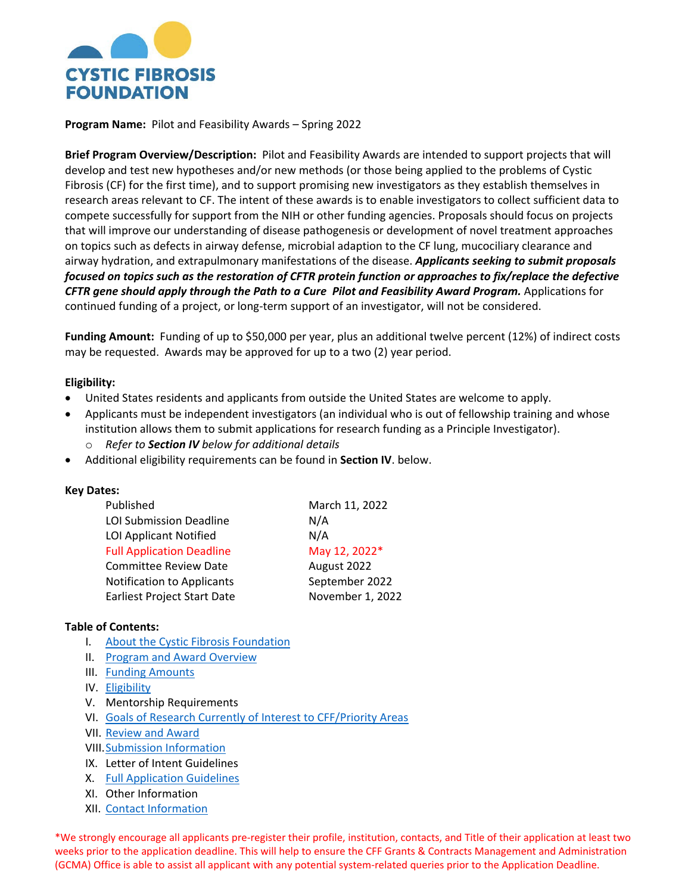

**Program Name:** Pilot and Feasibility Awards – Spring 2022

**Brief Program Overview/Description:** Pilot and Feasibility Awards are intended to support projects that will develop and test new hypotheses and/or new methods (or those being applied to the problems of Cystic Fibrosis (CF) for the first time), and to support promising new investigators as they establish themselves in research areas relevant to CF. The intent of these awards is to enable investigators to collect sufficient data to compete successfully for support from the NIH or other funding agencies. Proposals should focus on projects that will improve our understanding of disease pathogenesis or development of novel treatment approaches on topics such as defects in airway defense, microbial adaption to the CF lung, mucociliary clearance and airway hydration, and extrapulmonary manifestations of the disease. *Applicants seeking to submit proposals focused on topics such as the restoration of CFTR protein function or approaches to fix/replace the defective CFTR gene should apply through the Path to a Cure Pilot and Feasibility Award Program.* Applications for continued funding of a project, or long-term support of an investigator, will not be considered.

**Funding Amount:** Funding of up to \$50,000 per year, plus an additional twelve percent (12%) of indirect costs may be requested. Awards may be approved for up to a two (2) year period.

### **Eligibility:**

- United States residents and applicants from outside the United States are welcome to apply.
- Applicants must be independent investigators (an individual who is out of fellowship training and whose institution allows them to submit applications for research funding as a Principle Investigator).
	- o *Refer to Section IV below for additional details*
- Additional eligibility requirements can be found in **Section IV**. below.

### **Key Dates:**

| Published                          | March 11, 2022   |
|------------------------------------|------------------|
| <b>LOI Submission Deadline</b>     | N/A              |
| <b>LOI Applicant Notified</b>      | N/A              |
| <b>Full Application Deadline</b>   | May 12, 2022*    |
| <b>Committee Review Date</b>       | August 2022      |
| <b>Notification to Applicants</b>  | September 2022   |
| <b>Earliest Project Start Date</b> | November 1, 2022 |

### **Table of Contents:**

- I. [About the Cystic Fibrosis Foundation](#page-1-0)
- II. Program and Award Overview
- III. [Funding Amounts](#page-1-1)
- IV. [Eligibility](#page-1-2)
- V. Mentorship Requirements
- VI. [Goals of Research Currently of Interest to CFF/Priority Areas](#page-2-0)
- VII. [Review and Award](#page-2-1)
- VIII[.Submission Information](#page-3-0)
- IX. Letter of Intent Guidelines
- X. [Full Application Guidelines](#page-4-0)
- XI. Other Information
- XII. [Contact Information](#page-11-0)

\*We strongly encourage all applicants pre-register their profile, institution, contacts, and Title of their application at least two weeks prior to the application deadline. This will help to ensure the CFF Grants & Contracts Management and Administration (GCMA) Office is able to assist all applicant with any potential system-related queries prior to the Application Deadline.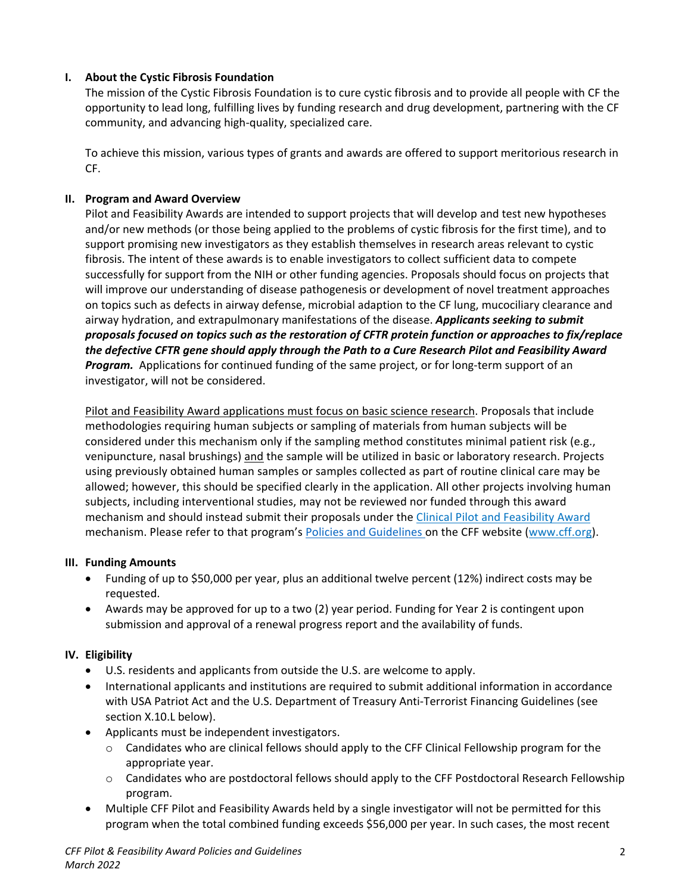## <span id="page-1-0"></span>**I. About the Cystic Fibrosis Foundation**

The mission of the Cystic Fibrosis Foundation is to cure cystic fibrosis and to provide all people with CF the opportunity to lead long, fulfilling lives by funding research and drug development, partnering with the CF community, and advancing high-quality, specialized care.

To achieve this mission, various types of grants and awards are offered to support meritorious research in CF.

# **II. Program and Award Overview**

Pilot and Feasibility Awards are intended to support projects that will develop and test new hypotheses and/or new methods (or those being applied to the problems of cystic fibrosis for the first time), and to support promising new investigators as they establish themselves in research areas relevant to cystic fibrosis. The intent of these awards is to enable investigators to collect sufficient data to compete successfully for support from the NIH or other funding agencies. Proposals should focus on projects that will improve our understanding of disease pathogenesis or development of novel treatment approaches on topics such as defects in airway defense, microbial adaption to the CF lung, mucociliary clearance and airway hydration, and extrapulmonary manifestations of the disease. *Applicants seeking to submit proposals focused on topics such as the restoration of CFTR protein function or approaches to fix/replace the defective CFTR gene should apply through the Path to a Cure Research Pilot and Feasibility Award Program.* Applications for continued funding of the same project, or for long-term support of an investigator, will not be considered.

Pilot and Feasibility Award applications must focus on basic science research. Proposals that include methodologies requiring human subjects or sampling of materials from human subjects will be considered under this mechanism only if the sampling method constitutes minimal patient risk (e.g., venipuncture, nasal brushings) and the sample will be utilized in basic or laboratory research. Projects using previously obtained human samples or samples collected as part of routine clinical care may be allowed; however, this should be specified clearly in the application. All other projects involving human subjects, including interventional studies, may not be reviewed nor funded through this award mechanism and should instead submit their proposals under the [Clinical](https://www.cff.org/researchers/clinical-pilot-and-feasibility-award) [Pilot and Feasibility Award](https://www.cff.org/Research/Researcher-Resources/Awards-and-Grants/Research-Awards/Clinical-Pilot-and-Feasibility-Awards/)  mechanism. Please refer to that program's Policies and Guidelines on the CFF website [\(www.cff.org\)](file://voyager/Netshare/GRANTS%20&%20CONTRACTS%20Medical%20Dept/.Application%20Guidelines%202017/RFA%20Setup/RRT%20Research%20Grants%20and%20P&F-%20Fall/P&%20F%20-%20Fall/www.cff.org).

## <span id="page-1-1"></span>**III. Funding Amounts**

- Funding of up to \$50,000 per year, plus an additional twelve percent (12%) indirect costs may be requested.
- Awards may be approved for up to a two (2) year period. Funding for Year 2 is contingent upon submission and approval of a renewal progress report and the availability of funds.

# <span id="page-1-2"></span>**IV. Eligibility**

- U.S. residents and applicants from outside the U.S. are welcome to apply.
- International applicants and institutions are required to submit additional information in accordance with USA Patriot Act and the U.S. Department of Treasury Anti-Terrorist Financing Guidelines (see section X.10.L below).
- Applicants must be independent investigators.
	- $\circ$  Candidates who are clinical fellows should apply to the CFF Clinical Fellowship program for the appropriate year.
	- o Candidates who are postdoctoral fellows should apply to the CFF Postdoctoral Research Fellowship program.
- Multiple CFF Pilot and Feasibility Awards held by a single investigator will not be permitted for this program when the total combined funding exceeds \$56,000 per year. In such cases, the most recent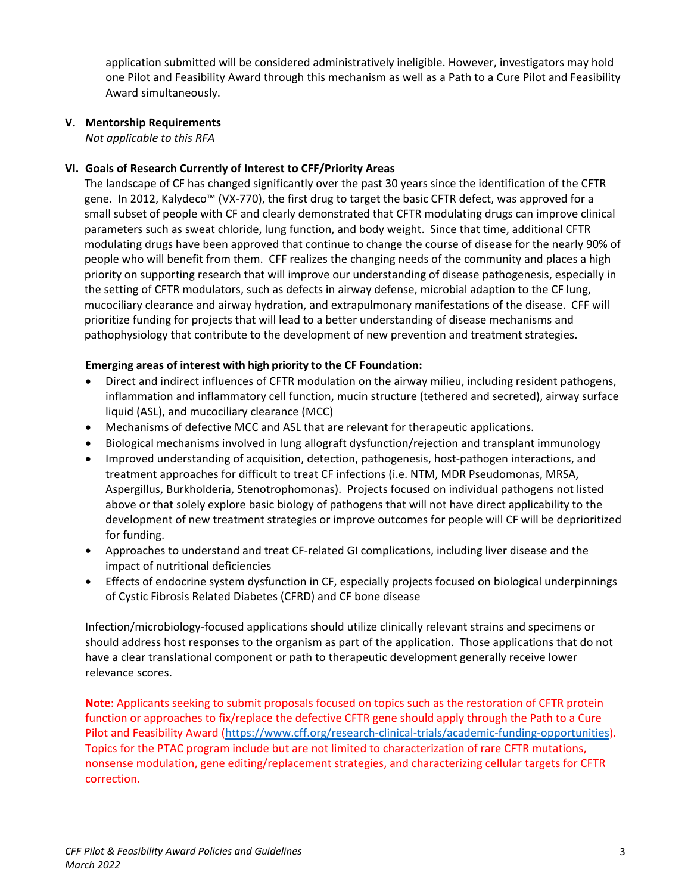application submitted will be considered administratively ineligible. However, investigators may hold one Pilot and Feasibility Award through this mechanism as well as a Path to a Cure Pilot and Feasibility Award simultaneously.

### **V. Mentorship Requirements**

*Not applicable to this RFA*

#### **VI. Goals of Research Currently of Interest to CFF/Priority Areas**

<span id="page-2-0"></span>The landscape of CF has changed significantly over the past 30 years since the identification of the CFTR gene. In 2012, Kalydeco™ (VX-770), the first drug to target the basic CFTR defect, was approved for a small subset of people with CF and clearly demonstrated that CFTR modulating drugs can improve clinical parameters such as sweat chloride, lung function, and body weight. Since that time, additional CFTR modulating drugs have been approved that continue to change the course of disease for the nearly 90% of people who will benefit from them. CFF realizes the changing needs of the community and places a high priority on supporting research that will improve our understanding of disease pathogenesis, especially in the setting of CFTR modulators, such as defects in airway defense, microbial adaption to the CF lung, mucociliary clearance and airway hydration, and extrapulmonary manifestations of the disease. CFF will prioritize funding for projects that will lead to a better understanding of disease mechanisms and pathophysiology that contribute to the development of new prevention and treatment strategies.

### **Emerging areas of interest with high priority to the CF Foundation:**

- Direct and indirect influences of CFTR modulation on the airway milieu, including resident pathogens, inflammation and inflammatory cell function, mucin structure (tethered and secreted), airway surface liquid (ASL), and mucociliary clearance (MCC)
- Mechanisms of defective MCC and ASL that are relevant for therapeutic applications.
- Biological mechanisms involved in lung allograft dysfunction/rejection and transplant immunology
- Improved understanding of acquisition, detection, pathogenesis, host-pathogen interactions, and treatment approaches for difficult to treat CF infections (i.e. NTM, MDR Pseudomonas, MRSA, Aspergillus, Burkholderia, Stenotrophomonas). Projects focused on individual pathogens not listed above or that solely explore basic biology of pathogens that will not have direct applicability to the development of new treatment strategies or improve outcomes for people will CF will be deprioritized for funding.
- Approaches to understand and treat CF-related GI complications, including liver disease and the impact of nutritional deficiencies
- Effects of endocrine system dysfunction in CF, especially projects focused on biological underpinnings of Cystic Fibrosis Related Diabetes (CFRD) and CF bone disease

Infection/microbiology-focused applications should utilize clinically relevant strains and specimens or should address host responses to the organism as part of the application. Those applications that do not have a clear translational component or path to therapeutic development generally receive lower relevance scores.

<span id="page-2-1"></span>**Note**: Applicants seeking to submit proposals focused on topics such as the restoration of CFTR protein function or approaches to fix/replace the defective CFTR gene should apply through the Path to a Cure Pilot and Feasibility Award [\(https://www.cff.org/research-clinical-trials/academic-funding-opportunities\)](https://www.cff.org/research-clinical-trials/academic-funding-opportunities). Topics for the PTAC program include but are not limited to characterization of rare CFTR mutations, nonsense modulation, gene editing/replacement strategies, and characterizing cellular targets for CFTR correction.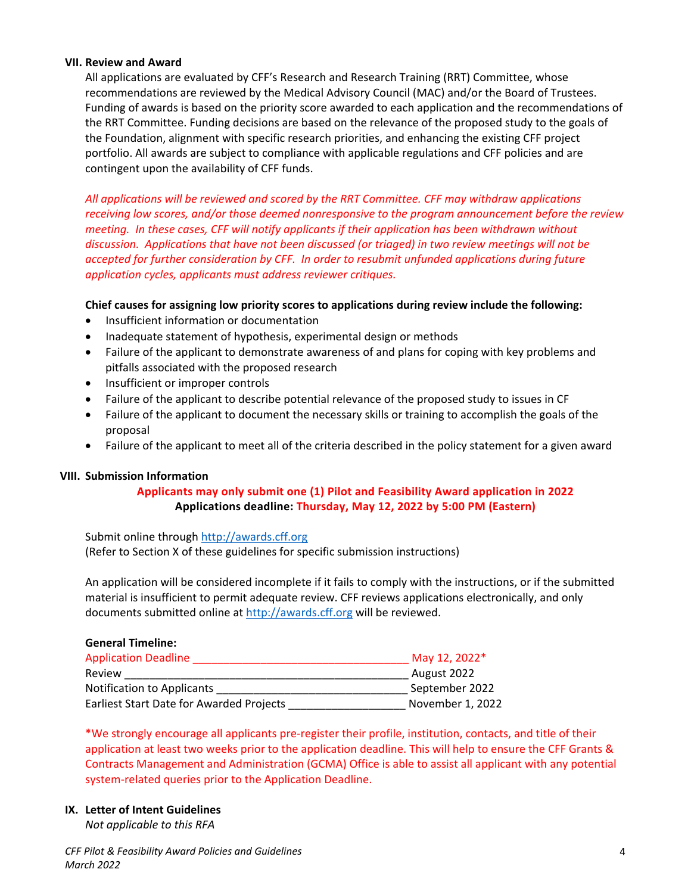#### **VII. Review and Award**

All applications are evaluated by CFF's Research and Research Training (RRT) Committee, whose recommendations are reviewed by the Medical Advisory Council (MAC) and/or the Board of Trustees. Funding of awards is based on the priority score awarded to each application and the recommendations of the RRT Committee. Funding decisions are based on the relevance of the proposed study to the goals of the Foundation, alignment with specific research priorities, and enhancing the existing CFF project portfolio. All awards are subject to compliance with applicable regulations and CFF policies and are contingent upon the availability of CFF funds.

*All applications will be reviewed and scored by the RRT Committee. CFF may withdraw applications receiving low scores, and/or those deemed nonresponsive to the program announcement before the review meeting. In these cases, CFF will notify applicants if their application has been withdrawn without discussion. Applications that have not been discussed (or triaged) in two review meetings will not be accepted for further consideration by CFF. In order to resubmit unfunded applications during future application cycles, applicants must address reviewer critiques.*

### **Chief causes for assigning low priority scores to applications during review include the following:**

- Insufficient information or documentation
- Inadequate statement of hypothesis, experimental design or methods
- Failure of the applicant to demonstrate awareness of and plans for coping with key problems and pitfalls associated with the proposed research
- Insufficient or improper controls
- Failure of the applicant to describe potential relevance of the proposed study to issues in CF
- Failure of the applicant to document the necessary skills or training to accomplish the goals of the proposal
- Failure of the applicant to meet all of the criteria described in the policy statement for a given award

### <span id="page-3-0"></span>**VIII. Submission Information**

## **Applicants may only submit one (1) Pilot and Feasibility Award application in 2022 Applications deadline: Thursday, May 12, 2022 by 5:00 PM (Eastern)**

Submit online through [http://awards.cff.org](http://awards.cff.org/) (Refer to Section X of these guidelines for specific submission instructions)

An application will be considered incomplete if it fails to comply with the instructions, or if the submitted material is insufficient to permit adequate review. CFF reviews applications electronically, and only documents submitted online at [http://awards.cff.org](http://awards.cff.org/) will be reviewed.

#### **General Timeline:**

| <b>Application Deadline</b>              | May 12, 2022*    |
|------------------------------------------|------------------|
| Review                                   | August 2022      |
| <b>Notification to Applicants</b>        | September 2022   |
| Earliest Start Date for Awarded Projects | November 1, 2022 |

\*We strongly encourage all applicants pre-register their profile, institution, contacts, and title of their application at least two weeks prior to the application deadline. This will help to ensure the CFF Grants & Contracts Management and Administration (GCMA) Office is able to assist all applicant with any potential system-related queries prior to the Application Deadline.

#### **IX. Letter of Intent Guidelines**

*Not applicable to this RFA*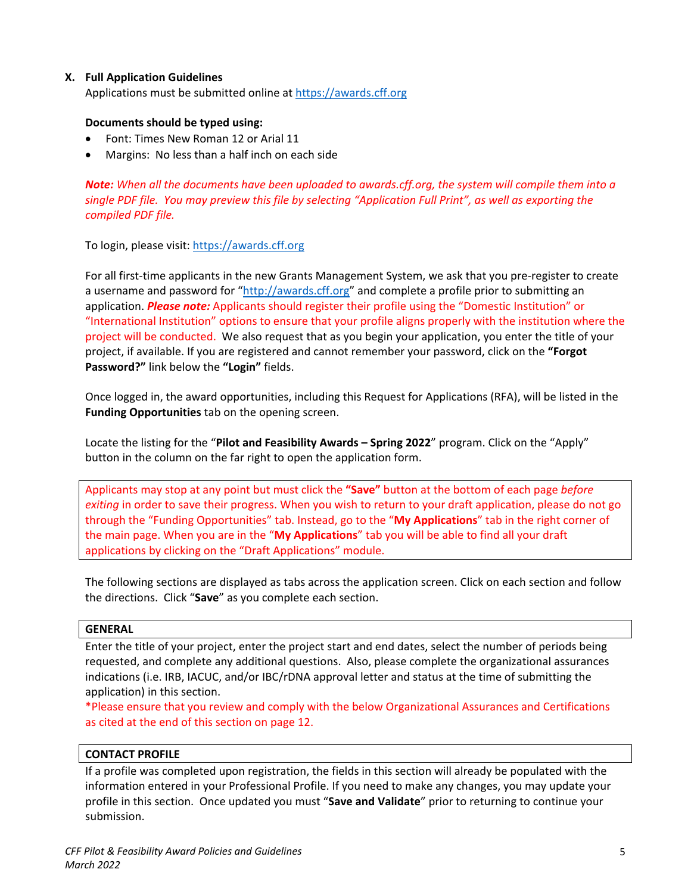### <span id="page-4-0"></span>**X. Full Application Guidelines**

Applications must be submitted online at [https://awards.cff.org](https://awards.cff.org/)

#### **Documents should be typed using:**

- Font: Times New Roman 12 or Arial 11
- Margins: No less than a half inch on each side

*Note: When all the documents have been uploaded to awards.cff.org, the system will compile them into a single PDF file. You may preview this file by selecting "Application Full Print", as well as exporting the compiled PDF file.*

To login, please visit: [https://awards.cff.org](https://awards.cff.org/)

For all first-time applicants in the new Grants Management System, we ask that you pre-register to create a username and password for ["http://awards.cff.org"](http://awards.cff.org/) and complete a profile prior to submitting an application. *Please note:* Applicants should register their profile using the "Domestic Institution" or "International Institution" options to ensure that your profile aligns properly with the institution where the project will be conducted. We also request that as you begin your application, you enter the title of your project, if available. If you are registered and cannot remember your password, click on the **"Forgot Password?"** link below the **"Login"** fields.

Once logged in, the award opportunities, including this Request for Applications (RFA), will be listed in the **Funding Opportunities** tab on the opening screen.

Locate the listing for the "**Pilot and Feasibility Awards – Spring 2022**" program. Click on the "Apply" button in the column on the far right to open the application form.

Applicants may stop at any point but must click the **"Save"** button at the bottom of each page *before exiting* in order to save their progress. When you wish to return to your draft application, please do not go through the "Funding Opportunities" tab. Instead, go to the "**My Applications**" tab in the right corner of the main page. When you are in the "**My Applications**" tab you will be able to find all your draft applications by clicking on the "Draft Applications" module.

The following sections are displayed as tabs across the application screen. Click on each section and follow the directions. Click "**Save**" as you complete each section.

#### **GENERAL**

Enter the title of your project, enter the project start and end dates, select the number of periods being requested, and complete any additional questions. Also, please complete the organizational assurances indications (i.e. IRB, IACUC, and/or IBC/rDNA approval letter and status at the time of submitting the application) in this section.

\*Please ensure that you review and comply with the below Organizational Assurances and Certifications as cited at the end of this section on page 12.

### **CONTACT PROFILE**

If a profile was completed upon registration, the fields in this section will already be populated with the information entered in your Professional Profile. If you need to make any changes, you may update your profile in this section. Once updated you must "**Save and Validate**" prior to returning to continue your submission.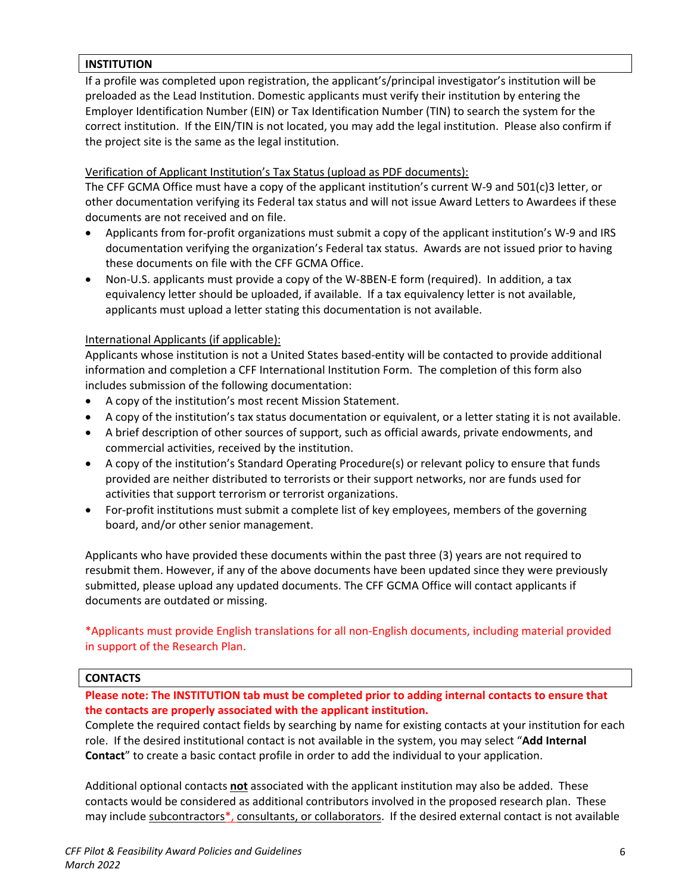### **INSTITUTION**

If a profile was completed upon registration, the applicant's/principal investigator's institution will be preloaded as the Lead Institution. Domestic applicants must verify their institution by entering the Employer Identification Number (EIN) or Tax Identification Number (TIN) to search the system for the correct institution. If the EIN/TIN is not located, you may add the legal institution. Please also confirm if the project site is the same as the legal institution.

### Verification of Applicant Institution's Tax Status (upload as PDF documents):

The CFF GCMA Office must have a copy of the applicant institution's current W-9 and 501(c)3 letter, or other documentation verifying its Federal tax status and will not issue Award Letters to Awardees if these documents are not received and on file.

- Applicants from for-profit organizations must submit a copy of the applicant institution's W-9 and IRS documentation verifying the organization's Federal tax status. Awards are not issued prior to having these documents on file with the CFF GCMA Office.
- Non-U.S. applicants must provide a copy of the W-8BEN-E form (required). In addition, a tax equivalency letter should be uploaded, if available. If a tax equivalency letter is not available, applicants must upload a letter stating this documentation is not available.

### International Applicants (if applicable):

Applicants whose institution is not a United States based-entity will be contacted to provide additional information and completion a CFF International Institution Form. The completion of this form also includes submission of the following documentation:

- A copy of the institution's most recent Mission Statement.
- A copy of the institution's tax status documentation or equivalent, or a letter stating it is not available.
- A brief description of other sources of support, such as official awards, private endowments, and commercial activities, received by the institution.
- A copy of the institution's Standard Operating Procedure(s) or relevant policy to ensure that funds provided are neither distributed to terrorists or their support networks, nor are funds used for activities that support terrorism or terrorist organizations.
- For-profit institutions must submit a complete list of key employees, members of the governing board, and/or other senior management.

Applicants who have provided these documents within the past three (3) years are not required to resubmit them. However, if any of the above documents have been updated since they were previously submitted, please upload any updated documents. The CFF GCMA Office will contact applicants if documents are outdated or missing.

## \*Applicants must provide English translations for all non-English documents, including material provided in support of the Research Plan.

### **CONTACTS**

## **Please note: The INSTITUTION tab must be completed prior to adding internal contacts to ensure that the contacts are properly associated with the applicant institution.**

Complete the required contact fields by searching by name for existing contacts at your institution for each role. If the desired institutional contact is not available in the system, you may select "**Add Internal Contact**" to create a basic contact profile in order to add the individual to your application.

Additional optional contacts **not** associated with the applicant institution may also be added. These contacts would be considered as additional contributors involved in the proposed research plan. These may include subcontractors\*, consultants, or collaborators. If the desired external contact is not available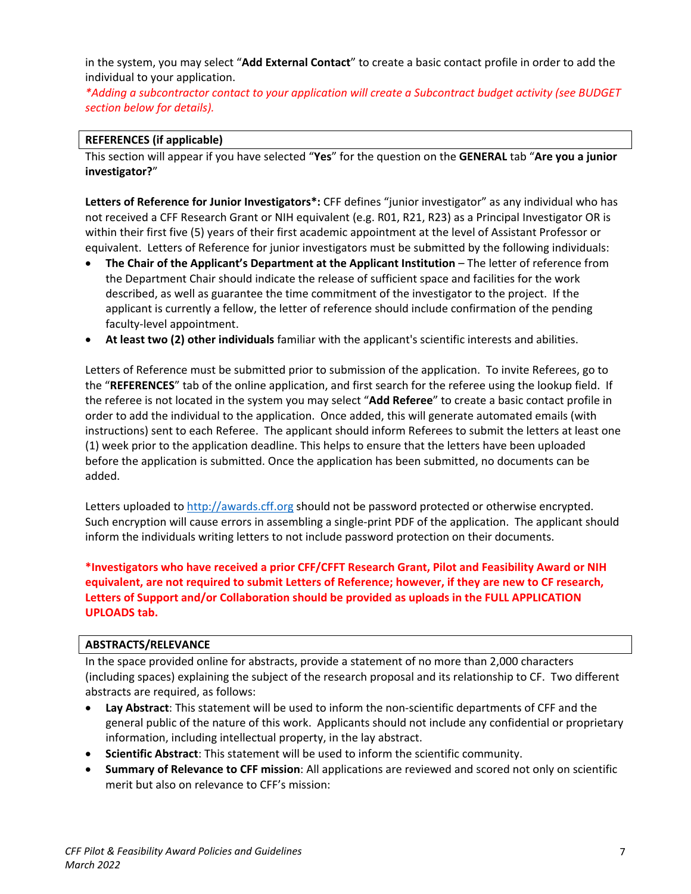in the system, you may select "**Add External Contact**" to create a basic contact profile in order to add the individual to your application.

*\*Adding a subcontractor contact to your application will create a Subcontract budget activity (see BUDGET section below for details).*

### **REFERENCES (if applicable)**

This section will appear if you have selected "**Yes**" for the question on the **GENERAL** tab "**Are you a junior investigator?**"

**Letters of Reference for Junior Investigators\*:** CFF defines "junior investigator" as any individual who has not received a CFF Research Grant or NIH equivalent (e.g. R01, R21, R23) as a Principal Investigator OR is within their first five (5) years of their first academic appointment at the level of Assistant Professor or equivalent. Letters of Reference for junior investigators must be submitted by the following individuals:

- **The Chair of the Applicant's Department at the Applicant Institution** The letter of reference from the Department Chair should indicate the release of sufficient space and facilities for the work described, as well as guarantee the time commitment of the investigator to the project. If the applicant is currently a fellow, the letter of reference should include confirmation of the pending faculty-level appointment.
- **At least two (2) other individuals** familiar with the applicant's scientific interests and abilities.

Letters of Reference must be submitted prior to submission of the application. To invite Referees, go to the "**REFERENCES**" tab of the online application, and first search for the referee using the lookup field. If the referee is not located in the system you may select "**Add Referee**" to create a basic contact profile in order to add the individual to the application. Once added, this will generate automated emails (with instructions) sent to each Referee. The applicant should inform Referees to submit the letters at least one (1) week prior to the application deadline. This helps to ensure that the letters have been uploaded before the application is submitted. Once the application has been submitted, no documents can be added.

Letters uploaded to [http://awards.cff.org](http://awards.cff.org/) should not be password protected or otherwise encrypted. Such encryption will cause errors in assembling a single-print PDF of the application. The applicant should inform the individuals writing letters to not include password protection on their documents.

**\*Investigators who have received a prior CFF/CFFT Research Grant, Pilot and Feasibility Award or NIH equivalent, are not required to submit Letters of Reference; however, if they are new to CF research, Letters of Support and/or Collaboration should be provided as uploads in the FULL APPLICATION UPLOADS tab.**

### **ABSTRACTS/RELEVANCE**

In the space provided online for abstracts, provide a statement of no more than 2,000 characters (including spaces) explaining the subject of the research proposal and its relationship to CF. Two different abstracts are required, as follows:

- **Lay Abstract**: This statement will be used to inform the non-scientific departments of CFF and the general public of the nature of this work. Applicants should not include any confidential or proprietary information, including intellectual property, in the lay abstract.
- **Scientific Abstract**: This statement will be used to inform the scientific community.
- **Summary of Relevance to CFF mission**: All applications are reviewed and scored not only on scientific merit but also on relevance to CFF's mission: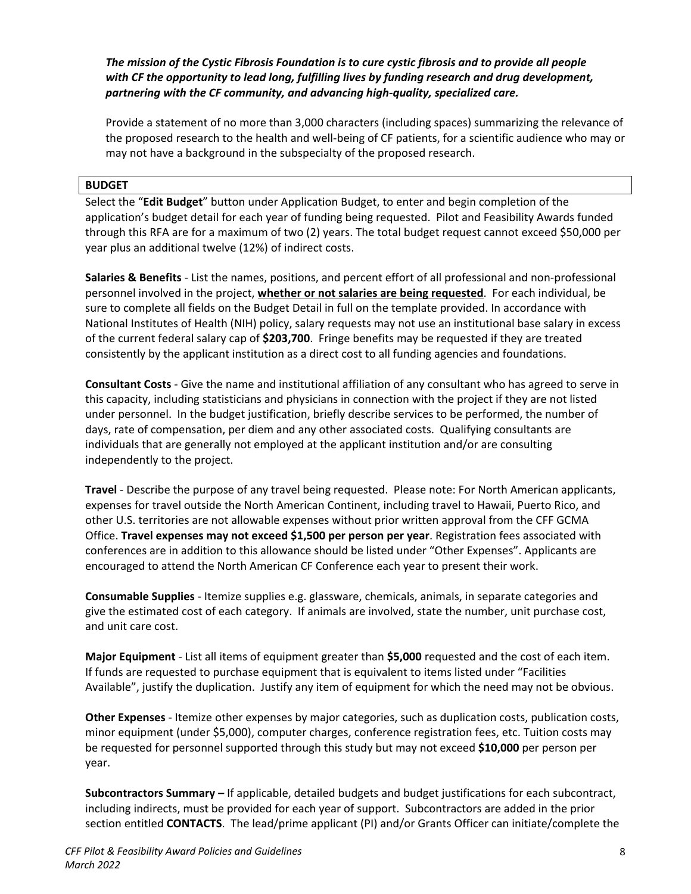*The mission of the Cystic Fibrosis Foundation is to cure cystic fibrosis and to provide all people with CF the opportunity to lead long, fulfilling lives by funding research and drug development, partnering with the CF community, and advancing high-quality, specialized care.*

Provide a statement of no more than 3,000 characters (including spaces) summarizing the relevance of the proposed research to the health and well-being of CF patients, for a scientific audience who may or may not have a background in the subspecialty of the proposed research.

### **BUDGET**

Select the "**Edit Budget**" button under Application Budget, to enter and begin completion of the application's budget detail for each year of funding being requested. Pilot and Feasibility Awards funded through this RFA are for a maximum of two (2) years. The total budget request cannot exceed \$50,000 per year plus an additional twelve (12%) of indirect costs.

**Salaries & Benefits** - List the names, positions, and percent effort of all professional and non-professional personnel involved in the project, **whether or not salaries are being requested**. For each individual, be sure to complete all fields on the Budget Detail in full on the template provided. In accordance with National Institutes of Health (NIH) policy, salary requests may not use an institutional base salary in excess of the current federal salary cap of **\$203,700**. Fringe benefits may be requested if they are treated consistently by the applicant institution as a direct cost to all funding agencies and foundations.

**Consultant Costs** - Give the name and institutional affiliation of any consultant who has agreed to serve in this capacity, including statisticians and physicians in connection with the project if they are not listed under personnel. In the budget justification, briefly describe services to be performed, the number of days, rate of compensation, per diem and any other associated costs. Qualifying consultants are individuals that are generally not employed at the applicant institution and/or are consulting independently to the project.

**Travel** - Describe the purpose of any travel being requested. Please note: For North American applicants, expenses for travel outside the North American Continent, including travel to Hawaii, Puerto Rico, and other U.S. territories are not allowable expenses without prior written approval from the CFF GCMA Office. **Travel expenses may not exceed \$1,500 per person per year**. Registration fees associated with conferences are in addition to this allowance should be listed under "Other Expenses". Applicants are encouraged to attend the North American CF Conference each year to present their work.

**Consumable Supplies** - Itemize supplies e.g. glassware, chemicals, animals, in separate categories and give the estimated cost of each category. If animals are involved, state the number, unit purchase cost, and unit care cost.

**Major Equipment** - List all items of equipment greater than **\$5,000** requested and the cost of each item. If funds are requested to purchase equipment that is equivalent to items listed under "Facilities Available", justify the duplication. Justify any item of equipment for which the need may not be obvious.

**Other Expenses** - Itemize other expenses by major categories, such as duplication costs, publication costs, minor equipment (under \$5,000), computer charges, conference registration fees, etc. Tuition costs may be requested for personnel supported through this study but may not exceed **\$10,000** per person per year.

**Subcontractors Summary –** If applicable, detailed budgets and budget justifications for each subcontract, including indirects, must be provided for each year of support. Subcontractors are added in the prior section entitled **CONTACTS**. The lead/prime applicant (PI) and/or Grants Officer can initiate/complete the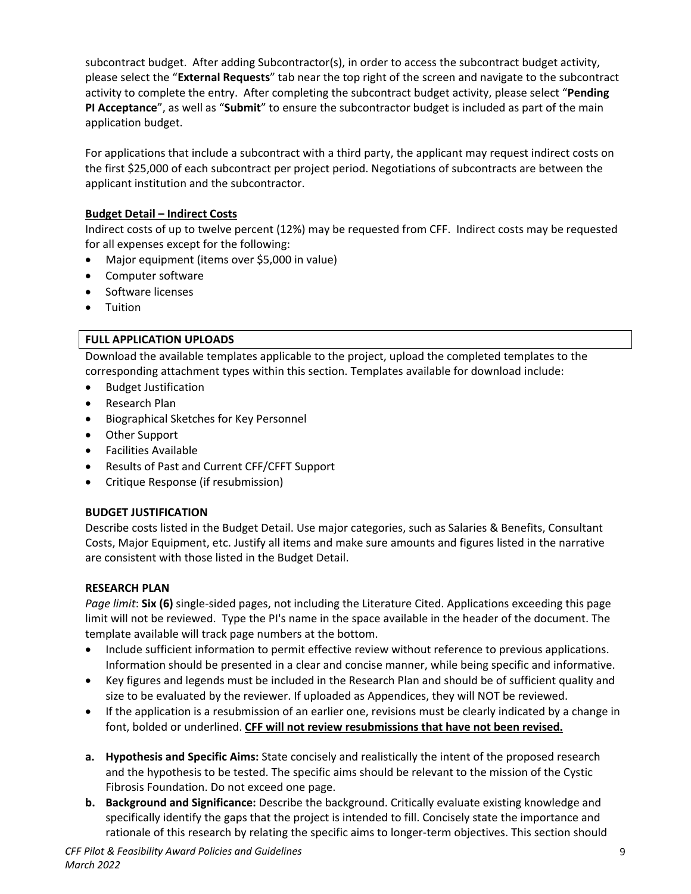subcontract budget. After adding Subcontractor(s), in order to access the subcontract budget activity, please select the "**External Requests**" tab near the top right of the screen and navigate to the subcontract activity to complete the entry. After completing the subcontract budget activity, please select "**Pending PI Acceptance**", as well as "**Submit**" to ensure the subcontractor budget is included as part of the main application budget.

For applications that include a subcontract with a third party, the applicant may request indirect costs on the first \$25,000 of each subcontract per project period. Negotiations of subcontracts are between the applicant institution and the subcontractor.

### **Budget Detail – Indirect Costs**

Indirect costs of up to twelve percent (12%) may be requested from CFF. Indirect costs may be requested for all expenses except for the following:

- Major equipment (items over \$5,000 in value)
- Computer software
- Software licenses
- Tuition

### **FULL APPLICATION UPLOADS**

Download the available templates applicable to the project, upload the completed templates to the corresponding attachment types within this section. Templates available for download include:

- Budget Justification
- Research Plan
- Biographical Sketches for Key Personnel
- Other Support
- Facilities Available
- Results of Past and Current CFF/CFFT Support
- Critique Response (if resubmission)

### **BUDGET JUSTIFICATION**

Describe costs listed in the Budget Detail. Use major categories, such as Salaries & Benefits, Consultant Costs, Major Equipment, etc. Justify all items and make sure amounts and figures listed in the narrative are consistent with those listed in the Budget Detail.

### **RESEARCH PLAN**

*Page limit*: **Six (6)** single-sided pages, not including the Literature Cited. Applications exceeding this page limit will not be reviewed. Type the PI's name in the space available in the header of the document. The template available will track page numbers at the bottom.

- Include sufficient information to permit effective review without reference to previous applications. Information should be presented in a clear and concise manner, while being specific and informative.
- Key figures and legends must be included in the Research Plan and should be of sufficient quality and size to be evaluated by the reviewer. If uploaded as Appendices, they will NOT be reviewed.
- If the application is a resubmission of an earlier one, revisions must be clearly indicated by a change in font, bolded or underlined. **CFF will not review resubmissions that have not been revised.**
- **a. Hypothesis and Specific Aims:** State concisely and realistically the intent of the proposed research and the hypothesis to be tested. The specific aims should be relevant to the mission of the Cystic Fibrosis Foundation. Do not exceed one page.
- **b. Background and Significance:** Describe the background. Critically evaluate existing knowledge and specifically identify the gaps that the project is intended to fill. Concisely state the importance and rationale of this research by relating the specific aims to longer-term objectives. This section should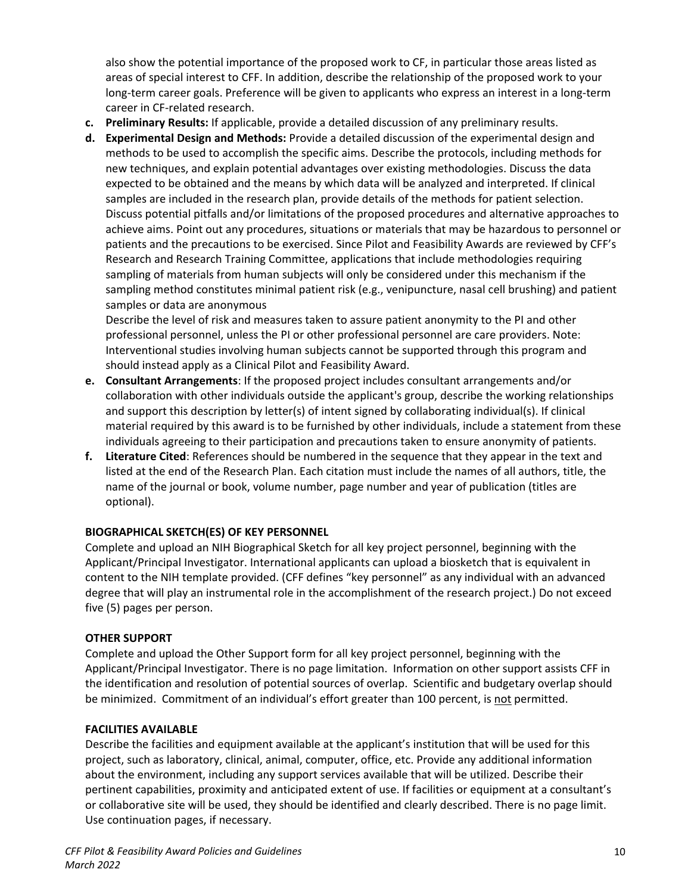also show the potential importance of the proposed work to CF, in particular those areas listed as areas of special interest to CFF. In addition, describe the relationship of the proposed work to your long-term career goals. Preference will be given to applicants who express an interest in a long-term career in CF-related research.

- **c. Preliminary Results:** If applicable, provide a detailed discussion of any preliminary results.
- **d. Experimental Design and Methods:** Provide a detailed discussion of the experimental design and methods to be used to accomplish the specific aims. Describe the protocols, including methods for new techniques, and explain potential advantages over existing methodologies. Discuss the data expected to be obtained and the means by which data will be analyzed and interpreted. If clinical samples are included in the research plan, provide details of the methods for patient selection. Discuss potential pitfalls and/or limitations of the proposed procedures and alternative approaches to achieve aims. Point out any procedures, situations or materials that may be hazardous to personnel or patients and the precautions to be exercised. Since Pilot and Feasibility Awards are reviewed by CFF's Research and Research Training Committee, applications that include methodologies requiring sampling of materials from human subjects will only be considered under this mechanism if the sampling method constitutes minimal patient risk (e.g., venipuncture, nasal cell brushing) and patient samples or data are anonymous

Describe the level of risk and measures taken to assure patient anonymity to the PI and other professional personnel, unless the PI or other professional personnel are care providers. Note: Interventional studies involving human subjects cannot be supported through this program and should instead apply as a Clinical Pilot and Feasibility Award.

- **e. Consultant Arrangements**: If the proposed project includes consultant arrangements and/or collaboration with other individuals outside the applicant's group, describe the working relationships and support this description by letter(s) of intent signed by collaborating individual(s). If clinical material required by this award is to be furnished by other individuals, include a statement from these individuals agreeing to their participation and precautions taken to ensure anonymity of patients.
- **f. Literature Cited**: References should be numbered in the sequence that they appear in the text and listed at the end of the Research Plan. Each citation must include the names of all authors, title, the name of the journal or book, volume number, page number and year of publication (titles are optional).

## **BIOGRAPHICAL SKETCH(ES) OF KEY PERSONNEL**

Complete and upload an NIH Biographical Sketch for all key project personnel, beginning with the Applicant/Principal Investigator. International applicants can upload a biosketch that is equivalent in content to the NIH template provided. (CFF defines "key personnel" as any individual with an advanced degree that will play an instrumental role in the accomplishment of the research project.) Do not exceed five (5) pages per person.

### **OTHER SUPPORT**

Complete and upload the Other Support form for all key project personnel, beginning with the Applicant/Principal Investigator. There is no page limitation. Information on other support assists CFF in the identification and resolution of potential sources of overlap. Scientific and budgetary overlap should be minimized. Commitment of an individual's effort greater than 100 percent, is not permitted.

## **FACILITIES AVAILABLE**

Describe the facilities and equipment available at the applicant's institution that will be used for this project, such as laboratory, clinical, animal, computer, office, etc. Provide any additional information about the environment, including any support services available that will be utilized. Describe their pertinent capabilities, proximity and anticipated extent of use. If facilities or equipment at a consultant's or collaborative site will be used, they should be identified and clearly described. There is no page limit. Use continuation pages, if necessary.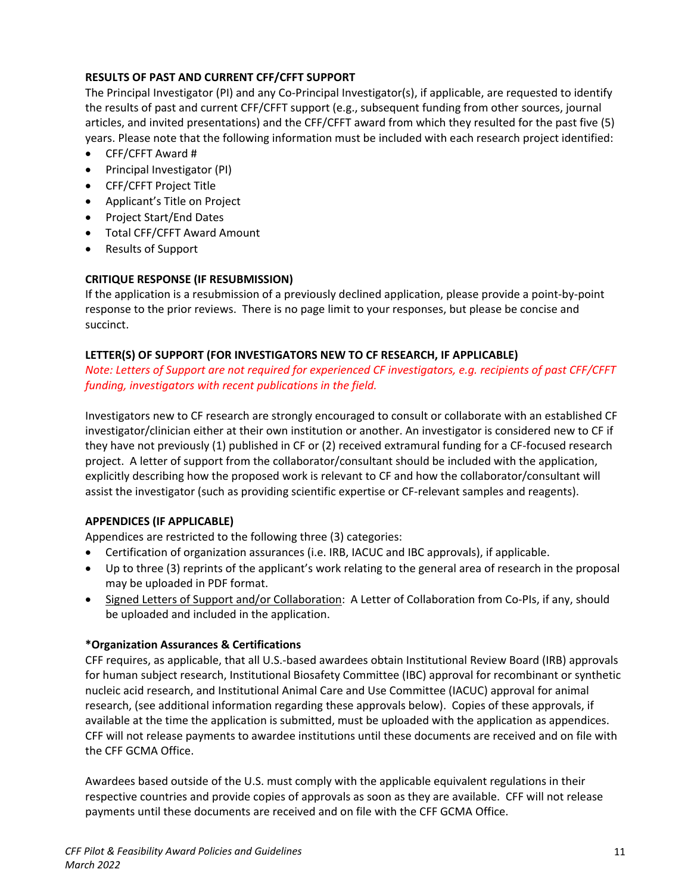## **RESULTS OF PAST AND CURRENT CFF/CFFT SUPPORT**

The Principal Investigator (PI) and any Co-Principal Investigator(s), if applicable, are requested to identify the results of past and current CFF/CFFT support (e.g., subsequent funding from other sources, journal articles, and invited presentations) and the CFF/CFFT award from which they resulted for the past five (5) years. Please note that the following information must be included with each research project identified:

- CFF/CFFT Award #
- Principal Investigator (PI)
- CFF/CFFT Project Title
- Applicant's Title on Project
- Project Start/End Dates
- Total CFF/CFFT Award Amount
- Results of Support

# **CRITIQUE RESPONSE (IF RESUBMISSION)**

If the application is a resubmission of a previously declined application, please provide a point-by-point response to the prior reviews. There is no page limit to your responses, but please be concise and succinct.

## **LETTER(S) OF SUPPORT (FOR INVESTIGATORS NEW TO CF RESEARCH, IF APPLICABLE)**

*Note: Letters of Support are not required for experienced CF investigators, e.g. recipients of past CFF/CFFT funding, investigators with recent publications in the field.*

Investigators new to CF research are strongly encouraged to consult or collaborate with an established CF investigator/clinician either at their own institution or another. An investigator is considered new to CF if they have not previously (1) published in CF or (2) received extramural funding for a CF-focused research project. A letter of support from the collaborator/consultant should be included with the application, explicitly describing how the proposed work is relevant to CF and how the collaborator/consultant will assist the investigator (such as providing scientific expertise or CF-relevant samples and reagents).

## **APPENDICES (IF APPLICABLE)**

Appendices are restricted to the following three (3) categories:

- Certification of organization assurances (i.e. IRB, IACUC and IBC approvals), if applicable.
- Up to three (3) reprints of the applicant's work relating to the general area of research in the proposal may be uploaded in PDF format.
- Signed Letters of Support and/or Collaboration: A Letter of Collaboration from Co-PIs, if any, should be uploaded and included in the application.

## **\*Organization Assurances & Certifications**

CFF requires, as applicable, that all U.S.-based awardees obtain Institutional Review Board (IRB) approvals for human subject research, Institutional Biosafety Committee (IBC) approval for recombinant or synthetic nucleic acid research, and Institutional Animal Care and Use Committee (IACUC) approval for animal research, (see additional information regarding these approvals below). Copies of these approvals, if available at the time the application is submitted, must be uploaded with the application as appendices. CFF will not release payments to awardee institutions until these documents are received and on file with the CFF GCMA Office.

Awardees based outside of the U.S. must comply with the applicable equivalent regulations in their respective countries and provide copies of approvals as soon as they are available. CFF will not release payments until these documents are received and on file with the CFF GCMA Office.